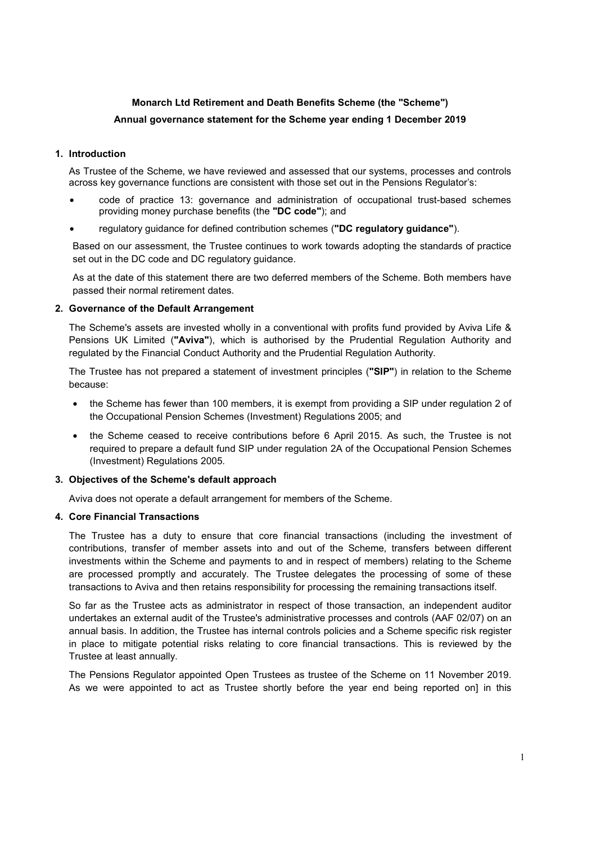# **Monarch Ltd Retirement and Death Benefits Scheme (the "Scheme") Annual governance statement for the Scheme year ending 1 December 2019**

## **1. Introduction**

As Trustee of the Scheme, we have reviewed and assessed that our systems, processes and controls across key governance functions are consistent with those set out in the Pensions Regulator's:

- code of practice 13: governance and administration of occupational trust-based schemes providing money purchase benefits (the **"DC code"**); and
- regulatory guidance for defined contribution schemes (**"DC regulatory guidance"**).

Based on our assessment, the Trustee continues to work towards adopting the standards of practice set out in the DC code and DC regulatory guidance.

As at the date of this statement there are two deferred members of the Scheme. Both members have passed their normal retirement dates.

## **2. Governance of the Default Arrangement**

The Scheme's assets are invested wholly in a conventional with profits fund provided by Aviva Life & Pensions UK Limited (**"Aviva"**), which is authorised by the Prudential Regulation Authority and regulated by the Financial Conduct Authority and the Prudential Regulation Authority.

The Trustee has not prepared a statement of investment principles (**"SIP"**) in relation to the Scheme because:

- the Scheme has fewer than 100 members, it is exempt from providing a SIP under regulation 2 of the Occupational Pension Schemes (Investment) Regulations 2005; and
- the Scheme ceased to receive contributions before 6 April 2015. As such, the Trustee is not required to prepare a default fund SIP under regulation 2A of the Occupational Pension Schemes (Investment) Regulations 2005.

#### **3. Objectives of the Scheme's default approach**

Aviva does not operate a default arrangement for members of the Scheme.

#### **4. Core Financial Transactions**

The Trustee has a duty to ensure that core financial transactions (including the investment of contributions, transfer of member assets into and out of the Scheme, transfers between different investments within the Scheme and payments to and in respect of members) relating to the Scheme are processed promptly and accurately. The Trustee delegates the processing of some of these transactions to Aviva and then retains responsibility for processing the remaining transactions itself.

So far as the Trustee acts as administrator in respect of those transaction, an independent auditor undertakes an external audit of the Trustee's administrative processes and controls (AAF 02/07) on an annual basis. In addition, the Trustee has internal controls policies and a Scheme specific risk register in place to mitigate potential risks relating to core financial transactions. This is reviewed by the Trustee at least annually.

The Pensions Regulator appointed Open Trustees as trustee of the Scheme on 11 November 2019. As we were appointed to act as Trustee shortly before the year end being reported on] in this